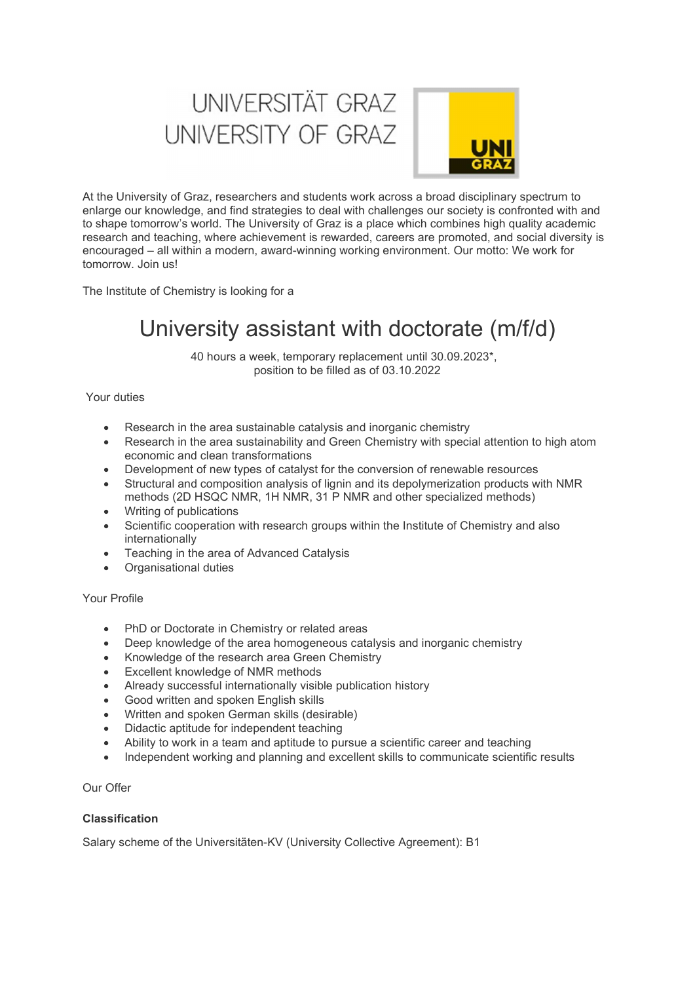# UNIVERSITÄT GRAZ UNIVERSITY OF GRAZ



At the University of Graz, researchers and students work across a broad disciplinary spectrum to enlarge our knowledge, and find strategies to deal with challenges our society is confronted with and to shape tomorrow's world. The University of Graz is a place which combines high quality academic research and teaching, where achievement is rewarded, careers are promoted, and social diversity is encouraged – all within a modern, award-winning working environment. Our motto: We work for tomorrow. Join us!

The Institute of Chemistry is looking for a

## University assistant with doctorate (m/f/d)

40 hours a week, temporary replacement until 30.09.2023\*, position to be filled as of 03.10.2022

Your duties

- Research in the area sustainable catalysis and inorganic chemistry
- Research in the area sustainability and Green Chemistry with special attention to high atom economic and clean transformations
- Development of new types of catalyst for the conversion of renewable resources
- Structural and composition analysis of lignin and its depolymerization products with NMR methods (2D HSQC NMR, 1H NMR, 31 P NMR and other specialized methods)
- Writing of publications
- Scientific cooperation with research groups within the Institute of Chemistry and also internationally
- Teaching in the area of Advanced Catalysis
- Organisational duties

#### Your Profile

- PhD or Doctorate in Chemistry or related areas
- Deep knowledge of the area homogeneous catalysis and inorganic chemistry
- Knowledge of the research area Green Chemistry
- Excellent knowledge of NMR methods
- Already successful internationally visible publication history
- Good written and spoken English skills
- Written and spoken German skills (desirable)
- Didactic aptitude for independent teaching
- Ability to work in a team and aptitude to pursue a scientific career and teaching
- Independent working and planning and excellent skills to communicate scientific results

Our Offer

### Classification

Salary scheme of the Universitäten-KV (University Collective Agreement): B1